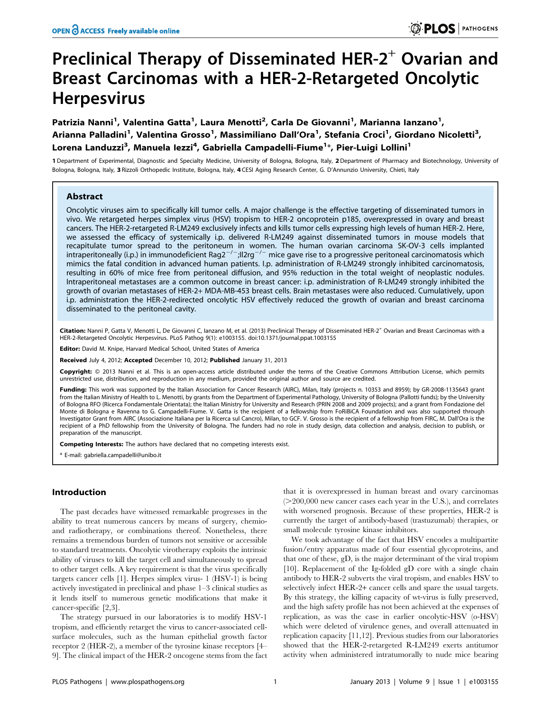# Preclinical Therapy of Disseminated HER-2<sup>+</sup> Ovarian and Breast Carcinomas with a HER-2-Retargeted Oncolytic **Herpesvirus**

Patrizia Nanni<sup>1</sup>, Valentina Gatta<sup>1</sup>, Laura Menotti<sup>2</sup>, Carla De Giovanni<sup>1</sup>, Marianna Ianzano<sup>1</sup>, Arianna Palladini<sup>1</sup>, Valentina Grosso<sup>1</sup>, Massimiliano Dall'Ora<sup>1</sup>, Stefania Croci<sup>1</sup>, Giordano Nicoletti<sup>3</sup>, Lorena Landuzzi<sup>3</sup>, Manuela lezzi<sup>4</sup>, Gabriella Campadelli-Fiume<sup>1</sup>\*, Pier-Luigi Lollini<sup>1</sup>

1 Department of Experimental, Diagnostic and Specialty Medicine, University of Bologna, Bologna, Italy, 2 Department of Pharmacy and Biotechnology, University of Bologna, Bologna, Italy, 3 Rizzoli Orthopedic Institute, Bologna, Italy, 4 CESI Aging Research Center, G. D'Annunzio University, Chieti, Italy

## Abstract

Oncolytic viruses aim to specifically kill tumor cells. A major challenge is the effective targeting of disseminated tumors in vivo. We retargeted herpes simplex virus (HSV) tropism to HER-2 oncoprotein p185, overexpressed in ovary and breast cancers. The HER-2-retargeted R-LM249 exclusively infects and kills tumor cells expressing high levels of human HER-2. Here, we assessed the efficacy of systemically i.p. delivered R-LM249 against disseminated tumors in mouse models that recapitulate tumor spread to the peritoneum in women. The human ovarian carcinoma SK-OV-3 cells implanted intraperitoneally (i.p.) in immunodeficient Rag2 $^{-/-}$ ;Il2rg $^{-/-}$  mice gave rise to a progressive peritoneal carcinomatosis which mimics the fatal condition in advanced human patients. I.p. administration of R-LM249 strongly inhibited carcinomatosis, resulting in 60% of mice free from peritoneal diffusion, and 95% reduction in the total weight of neoplastic nodules. Intraperitoneal metastases are a common outcome in breast cancer: i.p. administration of R-LM249 strongly inhibited the growth of ovarian metastases of HER-2+ MDA-MB-453 breast cells. Brain metastases were also reduced. Cumulatively, upon i.p. administration the HER-2-redirected oncolytic HSV effectively reduced the growth of ovarian and breast carcinoma disseminated to the peritoneal cavity.

Citation: Nanni P, Gatta V, Menotti L, De Giovanni C, Ianzano M, et al. (2013) Preclinical Therapy of Disseminated HER-2<sup>+</sup> Ovarian and Breast Carcinomas with a HER-2-Retargeted Oncolytic Herpesvirus. PLoS Pathog 9(1): e1003155. doi:10.1371/journal.ppat.1003155

Editor: David M. Knipe, Harvard Medical School, United States of America

Received July 4, 2012; Accepted December 10, 2012; Published January 31, 2013

Copyright: © 2013 Nanni et al. This is an open-access article distributed under the terms of the Creative Commons Attribution License, which permits unrestricted use, distribution, and reproduction in any medium, provided the original author and source are credited.

Funding: This work was supported by the Italian Association for Cancer Research (AIRC), Milan, Italy (projects n. 10353 and 8959); by GR-2008-1135643 grant from the Italian Ministry of Health to L. Menotti, by grants from the Department of Experimental Pathology, University of Bologna (Pallotti funds); by the University<br>of Bologna RFO (Ricerca Fondamentale Orientata); the Ita Monte di Bologna e Ravenna to G. Campadelli-Fiume. V. Gatta is the recipient of a fellowship from FoRiBiCA Foundation and was also supported through Investigator Grant from AIRC (Associazione Italiana per la Ricerca sul Cancro), Milan, to GCF. V. Grosso is the recipient of a fellowship from FIRC, M. Dall'Ora is the recipient of a PhD fellowship from the University of Bologna. The funders had no role in study design, data collection and analysis, decision to publish, or preparation of the manuscript.

Competing Interests: The authors have declared that no competing interests exist.

\* E-mail: gabriella.campadelli@unibo.it

## Introduction

The past decades have witnessed remarkable progresses in the ability to treat numerous cancers by means of surgery, chemioand radiotherapy, or combinations thereof. Nonetheless, there remains a tremendous burden of tumors not sensitive or accessible to standard treatments. Oncolytic virotherapy exploits the intrinsic ability of viruses to kill the target cell and simultaneously to spread to other target cells. A key requirement is that the virus specifically targets cancer cells [1]. Herpes simplex virus- 1 (HSV-1) is being actively investigated in preclinical and phase 1–3 clinical studies as it lends itself to numerous genetic modifications that make it cancer-specific [2,3].

The strategy pursued in our laboratories is to modify HSV-1 tropism, and efficiently retarget the virus to cancer-associated cellsurface molecules, such as the human epithelial growth factor receptor 2 (HER-2), a member of the tyrosine kinase receptors [4– 9]. The clinical impact of the HER-2 oncogene stems from the fact

that it is overexpressed in human breast and ovary carcinomas  $(>=200,000$  new cancer cases each year in the U.S.), and correlates with worsened prognosis. Because of these properties, HER-2 is currently the target of antibody-based (trastuzumab) therapies, or small molecule tyrosine kinase inhibitors.

We took advantage of the fact that HSV encodes a multipartite fusion/entry apparatus made of four essential glycoproteins, and that one of these, gD, is the major determinant of the viral tropism [10]. Replacement of the Ig-folded gD core with a single chain antibody to HER-2 subverts the viral tropism, and enables HSV to selectively infect HER-2+ cancer cells and spare the usual targets. By this strategy, the killing capacity of wt-virus is fully preserved, and the high safety profile has not been achieved at the expenses of replication, as was the case in earlier oncolytic-HSV (o-HSV) which were deleted of virulence genes, and overall attenuated in replication capacity [11,12]. Previous studies from our laboratories showed that the HER-2-retargeted R-LM249 exerts antitumor activity when administered intratumorally to nude mice bearing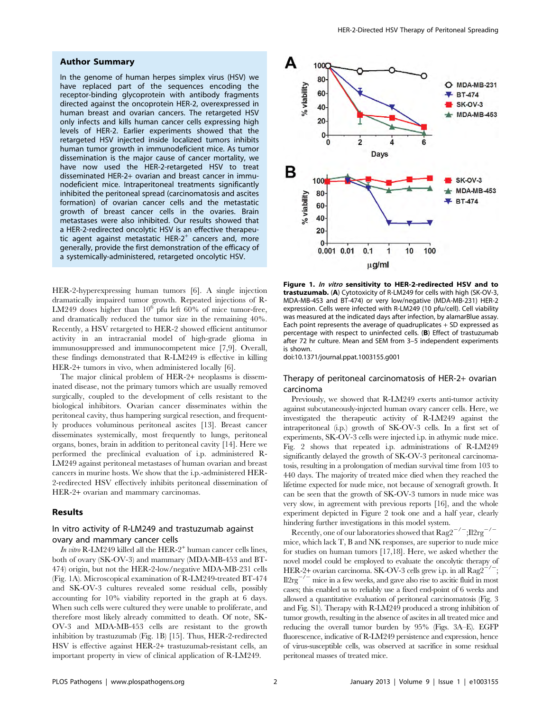## Author Summary

In the genome of human herpes simplex virus (HSV) we have replaced part of the sequences encoding the receptor-binding glycoprotein with antibody fragments directed against the oncoprotein HER-2, overexpressed in human breast and ovarian cancers. The retargeted HSV only infects and kills human cancer cells expressing high levels of HER-2. Earlier experiments showed that the retargeted HSV injected inside localized tumors inhibits human tumor growth in immunodeficient mice. As tumor dissemination is the major cause of cancer mortality, we have now used the HER-2-retargeted HSV to treat disseminated HER-2+ ovarian and breast cancer in immunodeficient mice. Intraperitoneal treatments significantly inhibited the peritoneal spread (carcinomatosis and ascites formation) of ovarian cancer cells and the metastatic growth of breast cancer cells in the ovaries. Brain metastases were also inhibited. Our results showed that a HER-2-redirected oncolytic HSV is an effective therapeutic agent against metastatic HER- $2^+$  cancers and, more generally, provide the first demonstration of the efficacy of a systemically-administered, retargeted oncolytic HSV.

HER-2-hyperexpressing human tumors [6]. A single injection dramatically impaired tumor growth. Repeated injections of R-LM249 doses higher than  $10^6$  pfu left 60% of mice tumor-free, and dramatically reduced the tumor size in the remaining 40%. Recently, a HSV retargeted to HER-2 showed efficient antitumor activity in an intracranial model of high-grade glioma in immunosuppressed and immunocompetent mice [7,9]. Overall, these findings demonstrated that R-LM249 is effective in killing HER-2+ tumors in vivo, when administered locally [6].

The major clinical problem of HER-2+ neoplasms is disseminated disease, not the primary tumors which are usually removed surgically, coupled to the development of cells resistant to the biological inhibitors. Ovarian cancer disseminates within the peritoneal cavity, thus hampering surgical resection, and frequently produces voluminous peritoneal ascites [13]. Breast cancer disseminates systemically, most frequently to lungs, peritoneal organs, bones, brain in addition to peritoneal cavity [14]. Here we performed the preclinical evaluation of i.p. administered R-LM249 against peritoneal metastases of human ovarian and breast cancers in murine hosts. We show that the i.p.-administered HER-2-redirected HSV effectively inhibits peritoneal dissemination of HER-2+ ovarian and mammary carcinomas.

## Results

## In vitro activity of R-LM249 and trastuzumab against ovary and mammary cancer cells

In vitro R-LM249 killed all the HER-2<sup>+</sup> human cancer cells lines, both of ovary (SK-OV-3) and mammary (MDA-MB-453 and BT-474) origin, but not the HER-2-low/negative MDA-MB-231 cells (Fig. 1A). Microscopical examination of R-LM249-treated BT-474 and SK-OV-3 cultures revealed some residual cells, possibly accounting for 10% viability reported in the graph at 6 days. When such cells were cultured they were unable to proliferate, and therefore most likely already committed to death. Of note, SK-OV-3 and MDA-MB-453 cells are resistant to the growth inhibition by trastuzumab (Fig. 1B) [15]. Thus, HER-2-redirected HSV is effective against HER-2+ trastuzumab-resistant cells, an important property in view of clinical application of R-LM249.



Figure 1. In vitro sensitivity to HER-2-redirected HSV and to trastuzumab. (A) Cytotoxicity of R-LM249 for cells with high (SK-OV-3, MDA-MB-453 and BT-474) or very low/negative (MDA-MB-231) HER-2 expression. Cells were infected with R-LM249 (10 pfu/cell). Cell viability was measured at the indicated days after infection, by alamarBlue assay. Each point represents the average of quadruplicates  $+$  SD expressed as percentage with respect to uninfected cells. (B) Effect of trastuzumab after 72 hr culture. Mean and SEM from 3–5 independent experiments is shown.

doi:10.1371/journal.ppat.1003155.g001

## Therapy of peritoneal carcinomatosis of HER-2+ ovarian carcinoma

Previously, we showed that R-LM249 exerts anti-tumor activity against subcutaneously-injected human ovary cancer cells. Here, we investigated the therapeutic activity of R-LM249 against the intraperitoneal (i.p.) growth of SK-OV-3 cells. In a first set of experiments, SK-OV-3 cells were injected i.p. in athymic nude mice. Fig. 2 shows that repeated i.p. administrations of R-LM249 significantly delayed the growth of SK-OV-3 peritoneal carcinomatosis, resulting in a prolongation of median survival time from 103 to 440 days. The majority of treated mice died when they reached the lifetime expected for nude mice, not because of xenograft growth. It can be seen that the growth of SK-OV-3 tumors in nude mice was very slow, in agreement with previous reports [16], and the whole experiment depicted in Figure 2 took one and a half year, clearly hindering further investigations in this model system.

Recently, one of our laboratories showed that  $\text{Rag2}^{-/-};112\text{rg}^{-/-}$ mice, which lack T, B and NK responses, are superior to nude mice for studies on human tumors [17,18]. Here, we asked whether the novel model could be employed to evaluate the oncolytic therapy of HER-2+ ovarian carcinoma. SK-OV-3 cells grew i.p. in all  $\text{Rag2}^{-/-}$ ;  $\text{Il2rg}^{-/-}$  mice in a few weeks, and gave also rise to ascitic fluid in most cases; this enabled us to reliably use a fixed end-point of 6 weeks and allowed a quantitative evaluation of peritoneal carcinomatosis (Fig. 3 and Fig. S1). Therapy with R-LM249 produced a strong inhibition of tumor growth, resulting in the absence of ascites in all treated mice and reducing the overall tumor burden by 95% (Figs. 3A–E). EGFP fluorescence, indicative of R-LM249 persistence and expression, hence of virus-susceptible cells, was observed at sacrifice in some residual peritoneal masses of treated mice.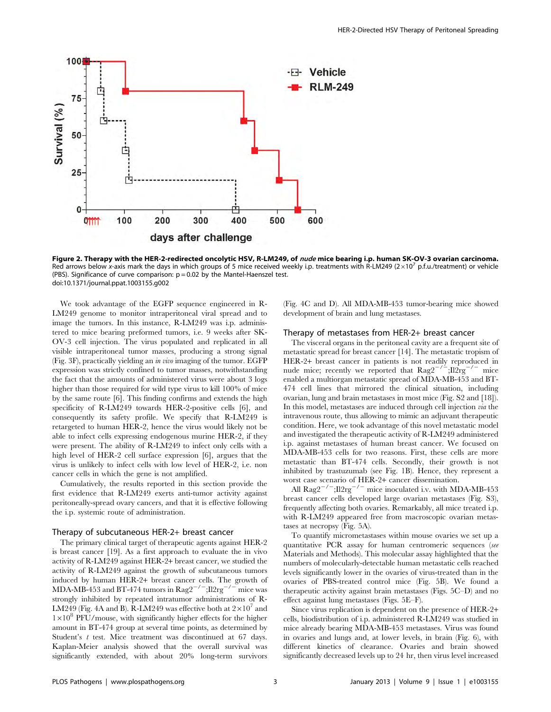

Figure 2. Therapy with the HER-2-redirected oncolytic HSV, R-LM249, of nude mice bearing i.p. human SK-OV-3 ovarian carcinoma. Red arrows below x-axis mark the days in which groups of 5 mice received weekly i.p. treatments with R-LM249 ( $2\times10'$  p.f.u./treatment) or vehicle (PBS). Significance of curve comparison:  $p = 0.02$  by the Mantel-Haenszel test. doi:10.1371/journal.ppat.1003155.g002

We took advantage of the EGFP sequence engineered in R-LM249 genome to monitor intraperitoneal viral spread and to image the tumors. In this instance, R-LM249 was i.p. administered to mice bearing preformed tumors, i.e. 9 weeks after SK-OV-3 cell injection. The virus populated and replicated in all visible intraperitoneal tumor masses, producing a strong signal (Fig. 3F), practically yielding an in vivo imaging of the tumor. EGFP expression was strictly confined to tumor masses, notwithstanding the fact that the amounts of administered virus were about 3 logs higher than those required for wild type virus to kill 100% of mice by the same route [6]. This finding confirms and extends the high specificity of R-LM249 towards HER-2-positive cells [6], and consequently its safety profile. We specify that R-LM249 is retargeted to human HER-2, hence the virus would likely not be able to infect cells expressing endogenous murine HER-2, if they were present. The ability of R-LM249 to infect only cells with a high level of HER-2 cell surface expression [6], argues that the virus is unlikely to infect cells with low level of HER-2, i.e. non cancer cells in which the gene is not amplified.

Cumulatively, the results reported in this section provide the first evidence that R-LM249 exerts anti-tumor activity against peritoneally-spread ovary cancers, and that it is effective following the i.p. systemic route of administration.

#### Therapy of subcutaneous HER-2+ breast cancer

The primary clinical target of therapeutic agents against HER-2 is breast cancer [19]. As a first approach to evaluate the in vivo activity of R-LM249 against HER-2+ breast cancer, we studied the activity of R-LM249 against the growth of subcutaneous tumors induced by human HER-2+ breast cancer cells. The growth of MDA-MB-453 and BT-474 tumors in  $\text{Rag2}^{-/-}; \text{Il2rg}^{-/-}$  mice was strongly inhibited by repeated intratumor administrations of R-LM249 (Fig. 4A and B). R-LM249 was effective both at  $2\times10^7$  and  $1\times10^8$  PFU/mouse, with significantly higher effects for the higher amount in BT-474 group at several time points, as determined by Student's  $t$  test. Mice treatment was discontinued at 67 days. Kaplan-Meier analysis showed that the overall survival was significantly extended, with about 20% long-term survivors

(Fig. 4C and D). All MDA-MB-453 tumor-bearing mice showed development of brain and lung metastases.

## Therapy of metastases from HER-2+ breast cancer

The visceral organs in the peritoneal cavity are a frequent site of metastatic spread for breast cancer [14]. The metastatic tropism of HER-2+ breast cancer in patients is not readily reproduced in nude mice; recently we reported that  $\text{Rag2}^{-/-}$ ; $\text{II2}^{\dagger}$ rg<sup>-/-</sup> mice enabled a multiorgan metastatic spread of MDA-MB-453 and BT-474 cell lines that mirrored the clinical situation, including ovarian, lung and brain metastases in most mice (Fig. S2 and [18]). In this model, metastases are induced through cell injection via the intravenous route, thus allowing to mimic an adjuvant therapeutic condition. Here, we took advantage of this novel metastatic model and investigated the therapeutic activity of R-LM249 administered i.p. against metastases of human breast cancer. We focused on MDA-MB-453 cells for two reasons. First, these cells are more metastatic than BT-474 cells. Secondly, their growth is not inhibited by trastuzumab (see Fig. 1B). Hence, they represent a worst case scenario of HER-2+ cancer dissemination.

All  $\text{Rag2}^{-/-}; \text{Il2rg}^{-/-}$  mice inoculated i.v. with MDA-MB-453 breast cancer cells developed large ovarian metastases (Fig. S3), frequently affecting both ovaries. Remarkably, all mice treated i.p. with R-LM249 appeared free from macroscopic ovarian metastases at necropsy (Fig. 5A).

To quantify micrometastases within mouse ovaries we set up a quantitative PCR assay for human centromeric sequences (see Materials and Methods). This molecular assay highlighted that the numbers of molecularly-detectable human metastatic cells reached levels significantly lower in the ovaries of virus-treated than in the ovaries of PBS-treated control mice (Fig. 5B). We found a therapeutic activity against brain metastases (Figs. 5C–D) and no effect against lung metastases (Figs. 5E–F).

Since virus replication is dependent on the presence of HER-2+ cells, biodistribution of i.p. administered R-LM249 was studied in mice already bearing MDA-MB-453 metastases. Virus was found in ovaries and lungs and, at lower levels, in brain (Fig. 6), with different kinetics of clearance. Ovaries and brain showed significantly decreased levels up to 24 hr, then virus level increased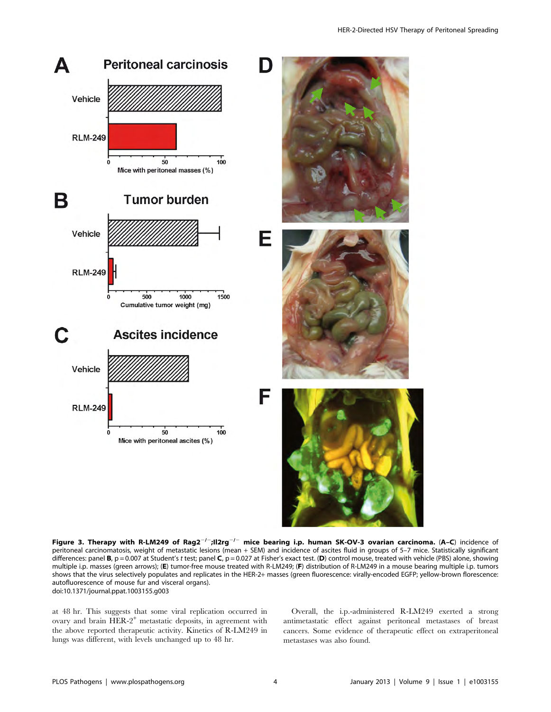

Figure 3. Therapy with R-LM249 of Rag2<sup>-/-</sup>;Il2rg<sup>-/-</sup> mice bearing i.p. human SK-OV-3 ovarian carcinoma. (A-C) incidence of peritoneal carcinomatosis, weight of metastatic lesions (mean + SEM) and incidence of ascites fluid in groups of 5–7 mice. Statistically significant differences: panel **B**, p = 0.007 at Student's t test; panel **C**, p = 0.027 at Fisher's exact test. (D) control mouse, treated with vehicle (PBS) alone, showing multiple i.p. masses (green arrows); (E) tumor-free mouse treated with R-LM249; (F) distribution of R-LM249 in a mouse bearing multiple i.p. tumors shows that the virus selectively populates and replicates in the HER-2+ masses (green fluorescence: virally-encoded EGFP; yellow-brown florescence: autofluorescence of mouse fur and visceral organs). doi:10.1371/journal.ppat.1003155.g003

at 48 hr. This suggests that some viral replication occurred in ovary and brain HER-2<sup>+</sup> metastatic deposits, in agreement with the above reported therapeutic activity. Kinetics of R-LM249 in lungs was different, with levels unchanged up to 48 hr.

Overall, the i.p.-administered R-LM249 exerted a strong antimetastatic effect against peritoneal metastases of breast cancers. Some evidence of therapeutic effect on extraperitoneal metastases was also found.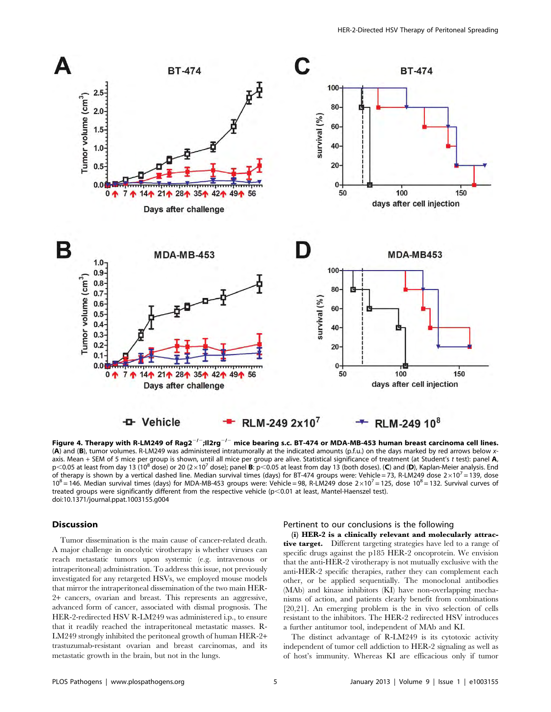

Figure 4. Therapy with R-LM249 of Rag2<sup>-/-</sup>;Il2rg<sup>-/-</sup> mice bearing s.c. BT-474 or MDA-MB-453 human breast carcinoma cell lines. (A) and (B), tumor volumes. R-LM249 was administered intratumorally at the indicated amounts (p.f.u.) on the days marked by red arrows below xaxis. Mean + SEM of 5 mice per group is shown, until all mice per group are alive. Statistical significance of treatment (at Student's t test): panel A,  $p$ <0.05 at least from day 13 (10<sup>8</sup> dose) or 20 (2×10<sup>7</sup> dose); panel **B**:  $p$ <0.05 at least from day 13 (both doses). (C) and (D), Kaplan-Meier analysis. End of therapy is shown by a vertical dashed line. Median survival times (days) for BT-474 groups were: Vehicle = 73, R-LM249 dose  $2\times10^7$  = 139, dose  $10^8$  = 146. Median survival times (days) for MDA-MB-453 groups were: Vehicle = 98, R-LM249 dose  $2\times10^7$  = 125, dose 10<sup>8</sup> = 132. Survival curves of treated groups were significantly different from the respective vehicle (p<0.01 at least, Mantel-Haenszel test). doi:10.1371/journal.ppat.1003155.g004

## **Discussion**

Tumor dissemination is the main cause of cancer-related death. A major challenge in oncolytic virotherapy is whether viruses can reach metastatic tumors upon systemic (e.g. intravenous or intraperitoneal) administration. To address this issue, not previously investigated for any retargeted HSVs, we employed mouse models that mirror the intraperitoneal dissemination of the two main HER-2+ cancers, ovarian and breast. This represents an aggressive, advanced form of cancer, associated with dismal prognosis. The HER-2-redirected HSV R-LM249 was administered i.p., to ensure that it readily reached the intraperitoneal metastatic masses. R-LM249 strongly inhibited the peritoneal growth of human HER-2+ trastuzumab-resistant ovarian and breast carcinomas, and its metastatic growth in the brain, but not in the lungs.

## Pertinent to our conclusions is the following

(i) HER-2 is a clinically relevant and molecularly attractive target. Different targeting strategies have led to a range of specific drugs against the p185 HER-2 oncoprotein. We envision that the anti-HER-2 virotherapy is not mutually exclusive with the anti-HER-2 specific therapies, rather they can complement each other, or be applied sequentially. The monoclonal antibodies (MAb) and kinase inhibitors (KI) have non-overlapping mechanisms of action, and patients clearly benefit from combinations [20,21]. An emerging problem is the in vivo selection of cells resistant to the inhibitors. The HER-2 redirected HSV introduces a further antitumor tool, independent of MAb and KI.

The distinct advantage of R-LM249 is its cytotoxic activity independent of tumor cell addiction to HER-2 signaling as well as of host's immunity. Whereas KI are efficacious only if tumor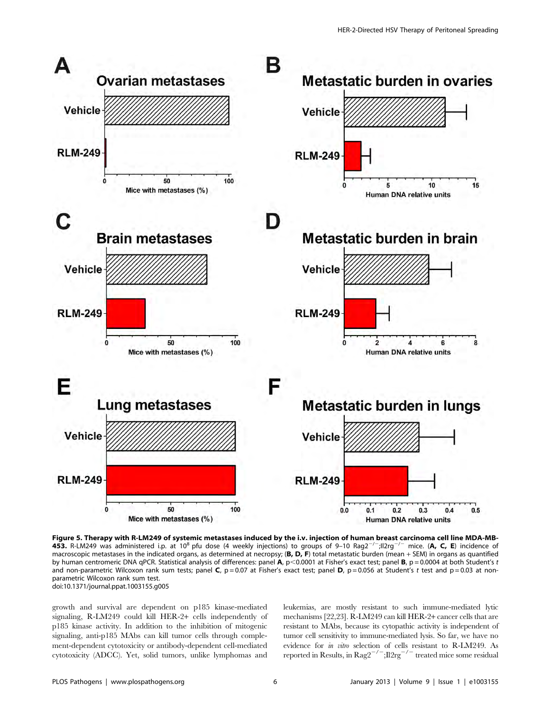

Figure 5. Therapy with R-LM249 of systemic metastases induced by the i.v. injection of human breast carcinoma cell line MDA-MB-453. R-LM249 was administered i.p. at 10<sup>8</sup> pfu dose (4 weekly injections) to groups of 9-10 Rag2<sup>-/-</sup>;Il2rg<sup>-/-</sup> mice. (A, C, E) incidence of macroscopic metastases in the indicated organs, as determined at necropsy;  $(B, D, F)$  total metastatic burden (mean + SEM) in organs as quantified by human centromeric DNA qPCR. Statistical analysis of differences: panel A,  $p$ <0.0001 at Fisher's exact test; panel B, p = 0.0004 at both Student's t and non-parametric Wilcoxon rank sum tests; panel C, p=0.07 at Fisher's exact test; panel D, p=0.056 at Student's t test and p=0.03 at nonparametric Wilcoxon rank sum test. doi:10.1371/journal.ppat.1003155.g005

growth and survival are dependent on p185 kinase-mediated signaling, R-LM249 could kill HER-2+ cells independently of p185 kinase activity. In addition to the inhibition of mitogenic signaling, anti-p185 MAbs can kill tumor cells through complement-dependent cytotoxicity or antibody-dependent cell-mediated cytotoxicity (ADCC). Yet, solid tumors, unlike lymphomas and

leukemias, are mostly resistant to such immune-mediated lytic mechanisms [22,23]. R-LM249 can kill HER-2+ cancer cells that are resistant to MAbs, because its cytopathic activity is independent of tumor cell sensitivity to immune-mediated lysis. So far, we have no evidence for in vitro selection of cells resistant to R-LM249. As reported in Results, in  $\text{Rag2}^{-/-}$ ; Il2rg<sup>-/-</sup> treated mice some residual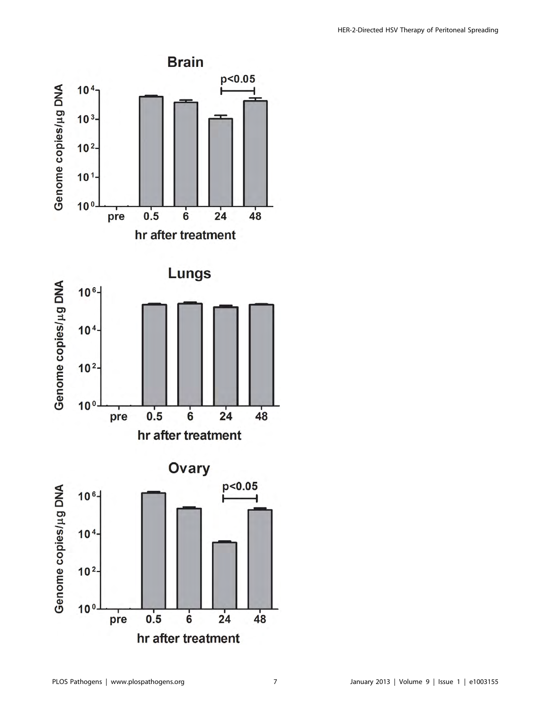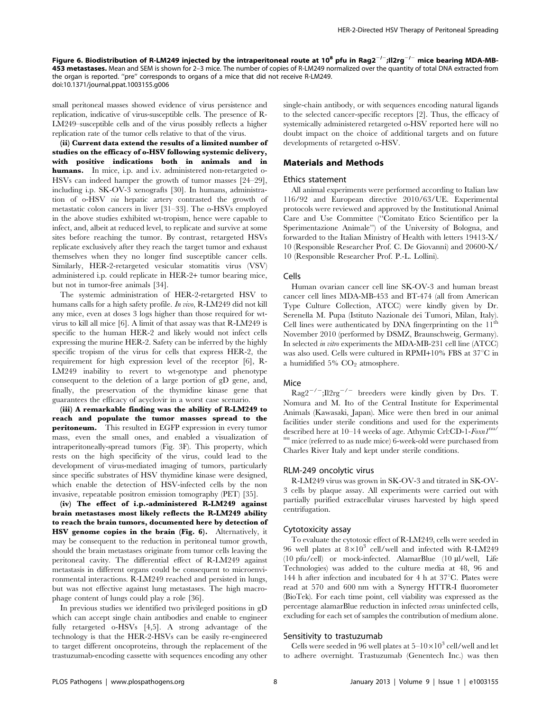Figure 6. Biodistribution of R-LM249 injected by the intraperitoneal route at 10<sup>8</sup> pfu in Rag2<sup>-/-</sup>;Il2rg<sup>-/-</sup> mice bearing MDA-MB-453 metastases. Mean and SEM is shown for 2-3 mice. The number of copies of R-LM249 normalized over the quantity of total DNA extracted from the organ is reported. ''pre'' corresponds to organs of a mice that did not receive R-LM249. doi:10.1371/journal.ppat.1003155.g006

small peritoneal masses showed evidence of virus persistence and replication, indicative of virus-susceptible cells. The presence of R-LM249–susceptible cells and of the virus possibly reflects a higher replication rate of the tumor cells relative to that of the virus.

(ii) Current data extend the results of a limited number of studies on the efficacy of o-HSV following systemic delivery, with positive indications both in animals and in humans. In mice, i.p. and i.v. administered non-retargeted o-HSVs can indeed hamper the growth of tumor masses [24–29], including i.p. SK-OV-3 xenografts [30]. In humans, administration of o-HSV via hepatic artery contrasted the growth of metastatic colon cancers in liver [31–33]. The o-HSVs employed in the above studies exhibited wt-tropism, hence were capable to infect, and, albeit at reduced level, to replicate and survive at some sites before reaching the tumor. By contrast, retargeted HSVs replicate exclusively after they reach the target tumor and exhaust themselves when they no longer find susceptible cancer cells. Similarly, HER-2-retargeted vesicular stomatitis virus (VSV) administered i.p. could replicate in HER-2+ tumor bearing mice, but not in tumor-free animals [34].

The systemic administration of HER-2-retargeted HSV to humans calls for a high safety profile. In vivo, R-LM249 did not kill any mice, even at doses 3 logs higher than those required for wtvirus to kill all mice [6]. A limit of that assay was that R-LM249 is specific to the human HER-2 and likely would not infect cells expressing the murine HER-2. Safety can be inferred by the highly specific tropism of the virus for cells that express HER-2, the requirement for high expression level of the receptor [6], R-LM249 inability to revert to wt-genotype and phenotype consequent to the deletion of a large portion of gD gene, and, finally, the preservation of the thymidine kinase gene that guarantees the efficacy of acyclovir in a worst case scenario.

(iii) A remarkable finding was the ability of R-LM249 to reach and populate the tumor masses spread to the peritoneum. This resulted in EGFP expression in every tumor mass, even the small ones, and enabled a visualization of intraperitoneally-spread tumors (Fig. 3F). This property, which rests on the high specificity of the virus, could lead to the development of virus-mediated imaging of tumors, particularly since specific substrates of HSV thymidine kinase were designed, which enable the detection of HSV-infected cells by the non invasive, repeatable positron emission tomography (PET) [35].

(iv) The effect of i.p.-administered R-LM249 against brain metastases most likely reflects the R-LM249 ability to reach the brain tumors, documented here by detection of HSV genome copies in the brain (Fig. 6). Alternatively, it may be consequent to the reduction in peritoneal tumor growth, should the brain metastases originate from tumor cells leaving the peritoneal cavity. The differential effect of R-LM249 against metastasis in different organs could be consequent to microenvironmental interactions. R-LM249 reached and persisted in lungs, but was not effective against lung metastases. The high macrophage content of lungs could play a role [36].

In previous studies we identified two privileged positions in gD which can accept single chain antibodies and enable to engineer fully retargeted o-HSVs [4,5]. A strong advantage of the technology is that the HER-2-HSVs can be easily re-engineered to target different oncoproteins, through the replacement of the trastuzumab-encoding cassette with sequences encoding any other single-chain antibody, or with sequences encoding natural ligands to the selected cancer-specific receptors [2]. Thus, the efficacy of systemically administered retargeted o-HSV reported here will no doubt impact on the choice of additional targets and on future developments of retargeted o-HSV.

## Materials and Methods

## Ethics statement

All animal experiments were performed according to Italian law 116/92 and European directive 2010/63/UE. Experimental protocols were reviewed and approved by the Institutional Animal Care and Use Committee (''Comitato Etico Scientifico per la Sperimentazione Animale'') of the University of Bologna, and forwarded to the Italian Ministry of Health with letters 19413-X/ 10 (Responsible Researcher Prof. C. De Giovanni) and 20600-X/ 10 (Responsible Researcher Prof. P.-L. Lollini).

#### Cells

Human ovarian cancer cell line SK-OV-3 and human breast cancer cell lines MDA-MB-453 and BT-474 (all from American Type Culture Collection, ATCC) were kindly given by Dr. Serenella M. Pupa (Istituto Nazionale dei Tumori, Milan, Italy). Cell lines were authenticated by DNA fingerprinting on the  $11<sup>th</sup>$ November 2010 (performed by DSMZ, Braunschweig, Germany). In selected in vitro experiments the MDA-MB-231 cell line (ATCC) was also used. Cells were cultured in RPMI+10% FBS at  $37^{\circ}$ C in a humidified 5%  $CO<sub>2</sub>$  atmosphere.

#### Mice

 $\text{Rag2}^{-/-}; \text{Il2rg}^{-/-}$  breeders were kindly given by Drs. T. Nomura and M. Ito of the Central Institute for Experimental Animals (Kawasaki, Japan). Mice were then bred in our animal facilities under sterile conditions and used for the experiments described here at 10–14 weeks of age. Athymic Crl:CD-1-Foxn1nu/ nu mice (referred to as nude mice) 6-week-old were purchased from Charles River Italy and kept under sterile conditions.

## RLM-249 oncolytic virus

R-LM249 virus was grown in SK-OV-3 and titrated in SK-OV-3 cells by plaque assay. All experiments were carried out with partially purified extracellular viruses harvested by high speed centrifugation.

## Cytotoxicity assay

To evaluate the cytotoxic effect of R-LM249, cells were seeded in 96 well plates at  $8\times10^3$  cell/well and infected with R-LM249 (10 pfu/cell) or mock-infected. AlamarBlue (10 ml/well, Life Technologies) was added to the culture media at 48, 96 and 144 h after infection and incubated for 4 h at  $37^{\circ}$ C. Plates were read at 570 and 600 nm with a Synergy HTTR-I fluorometer (BioTek). For each time point, cell viability was expressed as the percentage alamarBlue reduction in infected versus uninfected cells, excluding for each set of samples the contribution of medium alone.

#### Sensitivity to trastuzumab

Cells were seeded in 96 well plates at  $5-10\times10^3$  cell/well and let to adhere overnight. Trastuzumab (Genentech Inc.) was then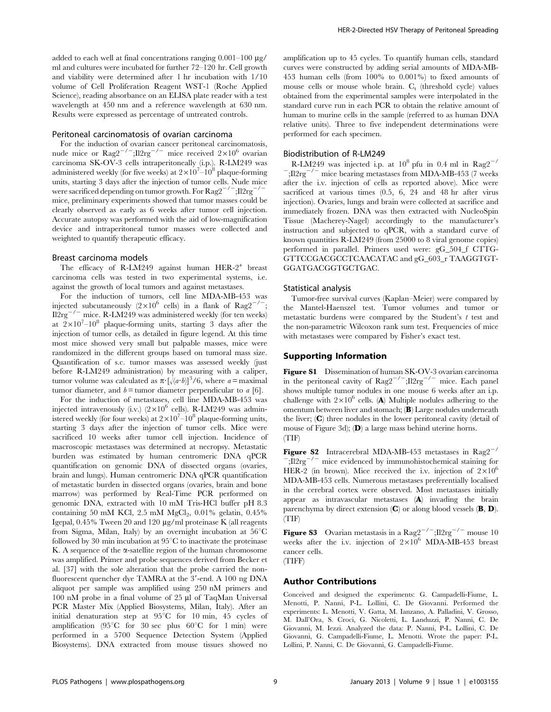added to each well at final concentrations ranging  $0.001-100 \mu g$ / ml and cultures were incubated for further 72–120 hr. Cell growth and viability were determined after 1 hr incubation with 1/10 volume of Cell Proliferation Reagent WST-1 (Roche Applied Science), reading absorbance on an ELISA plate reader with a test wavelength at 450 nm and a reference wavelength at 630 nm. Results were expressed as percentage of untreated controls.

#### Peritoneal carcinomatosis of ovarian carcinoma

For the induction of ovarian cancer peritoneal carcinomatosis, nude mice or  $\text{Rag2}^{-/-}$ ;Il2rg<sup>-/-</sup> mice received  $2\times10^6$  ovarian carcinoma SK-OV-3 cells intraperitoneally (i.p.). R-LM249 was administered weekly (for five weeks) at  $2\times10^7\text{--}10^8$  plaque-forming units, starting 3 days after the injection of tumor cells. Nude mice were sacrificed depending on tumor growth. For  $\text{Rag2}^{-/-};112\text{rg}^{-/-}$ mice, preliminary experiments showed that tumor masses could be clearly observed as early as 6 weeks after tumor cell injection. Accurate autopsy was performed with the aid of low-magnification device and intraperitoneal tumor masses were collected and weighted to quantify therapeutic efficacy.

#### Breast carcinoma models

The efficacy of R-LM249 against human  $HER-2^+$  breast carcinoma cells was tested in two experimental systems, i.e. against the growth of local tumors and against metastases.

For the induction of tumors, cell line MDA-MB-453 was injected subcutaneously  $(2\times10^6 \text{ cells})$  in a flank of Rag2<sup>-/-</sup>;  $\text{Il2rg}^{-/-}$  mice. R-LM249 was administered weekly (for ten weeks) at  $2 \times 10^7 - 10^8$  plaque-forming units, starting 3 days after the injection of tumor cells, as detailed in figure legend. At this time most mice showed very small but palpable masses, mice were randomized in the different groups based on tumoral mass size. Quantification of s.c. tumor masses was assessed weekly (just before R-LM249 administration) by measuring with a caliper, tumor volume was calculated as  $\pi \cdot [\sqrt{(a \cdot b)}]^3/6$ , where  $a =$  maximal tumor diameter, and  $b =$ tumor diameter perpendicular to  $a$  [6].

For the induction of metastases, cell line MDA-MB-453 was injected intravenously (i.v.)  $(2\times10^6 \text{ cells})$ . R-LM249 was administered weekly (for four weeks) at  $2\times10^7\text{--}10^8$  plaque-forming units, starting 3 days after the injection of tumor cells. Mice were sacrificed 10 weeks after tumor cell injection. Incidence of macroscopic metastases was determined at necropsy. Metastatic burden was estimated by human centromeric DNA qPCR quantification on genomic DNA of dissected organs (ovaries, brain and lungs). Human centromeric DNA qPCR quantification of metastatic burden in dissected organs (ovaries, brain and bone marrow) was performed by Real-Time PCR performed on genomic DNA, extracted with 10 mM Tris-HCl buffer pH 8.3 containing 50 mM KCl, 2.5 mM  $MgCl<sub>2</sub>$ , 0.01% gelatin, 0.45% Igepal,  $0.45\%$  Tween 20 and 120  $\mu$ g/ml proteinase K (all reagents from Sigma, Milan, Italy) by an overnight incubation at  $56^{\circ}$ C followed by 30 min incubation at  $95^{\circ}$ C to inactivate the proteinase K. A sequence of the  $\alpha$ -satellite region of the human chromosome was amplified. Primer and probe sequences derived from Becker et al. [37] with the sole alteration that the probe carried the nonfluorescent quencher dye TAMRA at the 3'-end. A 100 ng DNA aliquot per sample was amplified using 250 nM primers and  $100$  nM probe in a final volume of  $25 \mu$ l of TaqMan Universal PCR Master Mix (Applied Biosystems, Milan, Italy). After an initial denaturation step at  $95^{\circ}C$  for 10 min, 45 cycles of amplification (95 $^{\circ}$ C for 30 sec plus 60 $^{\circ}$ C for 1 min) were performed in a 5700 Sequence Detection System (Applied Biosystems). DNA extracted from mouse tissues showed no amplification up to 45 cycles. To quantify human cells, standard curves were constructed by adding serial amounts of MDA-MB-453 human cells (from 100% to 0.001%) to fixed amounts of mouse cells or mouse whole brain.  $C_t$  (threshold cycle) values obtained from the experimental samples were interpolated in the standard curve run in each PCR to obtain the relative amount of human to murine cells in the sample (referred to as human DNA relative units). Three to five independent determinations were performed for each specimen.

#### Biodistribution of R-LM249

R-LM249 was injected i.p. at  $10^8$  pfu in 0.4 ml in Rag2<sup>-/</sup>  $\sim$ :Il2rg<sup>-/-</sup> mice bearing metastases from MDA-MB-453 (7 weeks) after the i.v. injection of cells as reported above). Mice were sacrificed at various times (0.5, 6, 24 and 48 hr after virus injection). Ovaries, lungs and brain were collected at sacrifice and immediately frozen. DNA was then extracted with NucleoSpin Tissue (Macherey-Nagel) accordingly to the manufacturer's instruction and subjected to qPCR, with a standard curve of known quantities R-LM249 (from 25000 to 8 viral genome copies) performed in parallel. Primers used were: gG\_504\_f CTTG-GTTCCGACGCCTCAACATAC and gG\_603\_r TAAGGTGT-GGATGACGGTGCTGAC.

#### Statistical analysis

Tumor-free survival curves (Kaplan–Meier) were compared by the Mantel-Haenszel test. Tumor volumes and tumor or metastatic burdens were compared by the Student's  $t$  test and the non-parametric Wilcoxon rank sum test. Frequencies of mice with metastases were compared by Fisher's exact test.

## Supporting Information

Figure S1 Dissemination of human SK-OV-3 ovarian carcinoma in the peritoneal cavity of  $\text{Rag2}^{-/-}; \text{Il2rg}^{-/-}$  mice. Each panel shows multiple tumor nodules in one mouse 6 weeks after an i.p. challenge with  $2\times10^6$  cells. (A) Multiple nodules adhering to the omentum between liver and stomach; (B) Large nodules underneath the liver;  $(\mathbf{C})$  three nodules in the lower peritoneal cavity (detail of mouse of Figure 3d);  $(D)$  a large mass behind uterine horns. (TIF)

**Figure S2** Intracerebral MDA-MB-453 metastases in  $\text{Rag2}^{-7}$  $\frac{1}{2}$ ;Il2rg<sup>-/-</sup> mice evidenced by immunohistochemical staining for HER-2 (in brown). Mice received the i.v. injection of  $2\times10^6$ MDA-MB-453 cells. Numerous metastases preferentially localised in the cerebral cortex were observed. Most metastases initially appear as intravascular metastases (A) invading the brain parenchyma by direct extension  $(C)$  or along blood vessels  $(B, D)$ . (TIF)

**Figure S3** Ovarian metastasis in a  $\text{Rag2}^{-/-}; \text{Il2rg}^{-/-}$  mouse 10 weeks after the i.v. injection of  $2\times10^6$  MDA-MB-453 breast cancer cells.

(TIFF)

## Author Contributions

Conceived and designed the experiments: G. Campadelli-Fiume, L. Menotti, P. Nanni, P-L. Lollini, C. De Giovanni. Performed the experiments: L. Menotti, V. Gatta, M. Ianzano, A. Palladini, V. Grosso, M. Dall'Ora, S. Croci, G. Nicoletti, L. Landuzzi, P. Nanni, C. De Giovanni, M. Iezzi. Analyzed the data: P. Nanni, P-L. Lollini, C. De Giovanni, G. Campadelli-Fiume, L. Menotti. Wrote the paper: P-L. Lollini, P. Nanni, C. De Giovanni, G. Campadelli-Fiume.